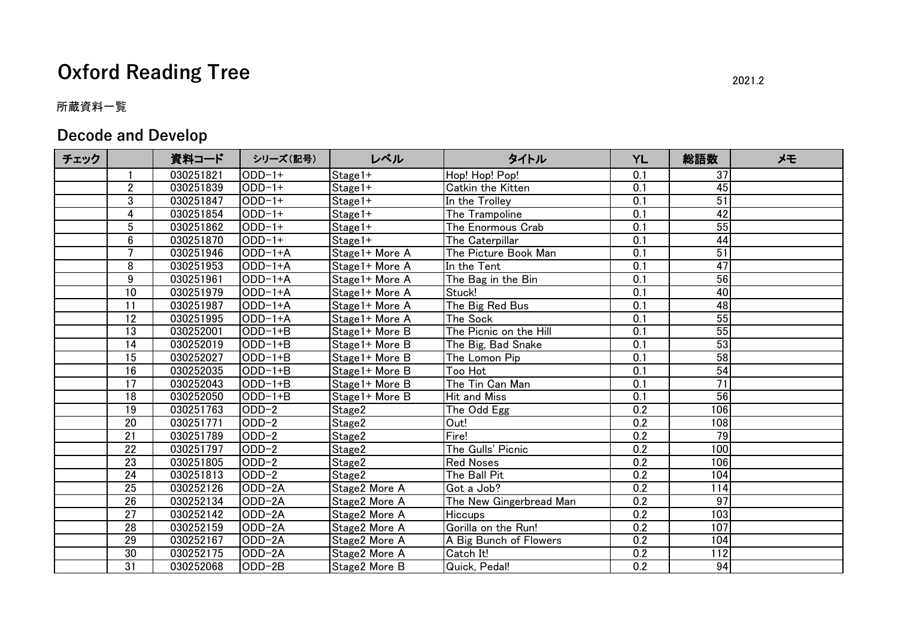## **Oxford Reading Tree** 2021.2

## 所蔵資料一覧

## **Decode and Develop**

| チェック |                 | 資料コード     | シリーズ(記号)  | レベル            | タイトル                    | <b>YL</b>        | 総語数             | メモ |
|------|-----------------|-----------|-----------|----------------|-------------------------|------------------|-----------------|----|
|      | $\mathbf{1}$    | 030251821 | $ODD-1+$  | Stage1+        | Hop! Hop! Pop!          | 0.1              | 37              |    |
|      | $\overline{2}$  | 030251839 | $ODD-1+$  | Stage1+        | Catkin the Kitten       | $\overline{0.1}$ | 45              |    |
|      | 3               | 030251847 | $ODD-1+$  | $Stage1+$      | In the Trolley          | $\overline{0.1}$ | 51              |    |
|      | 4               | 030251854 | $ODD-1+$  | Stage1+        | The Trampoline          | 0.1              | $\overline{42}$ |    |
|      | 5               | 030251862 | $ODD-1+$  | Stage1+        | The Enormous Crab       | $\overline{0.1}$ | 55              |    |
|      | 6               | 030251870 | $ODD-1+$  | Stage1+        | The Caterpillar         | 0.1              | 44              |    |
|      | 7               | 030251946 | ODD-1+A   | Stage1+ More A | The Picture Book Man    | 0.1              | 51              |    |
|      | 8               | 030251953 | $ODD-1+A$ | Stage1+ More A | In the Tent             | $\overline{0.1}$ | 47              |    |
|      | $\overline{9}$  | 030251961 | $ODD-1+A$ | Stage1+ More A | The Bag in the Bin      | $\overline{0.1}$ | 56              |    |
|      | 10              | 030251979 | $ODD-1+A$ | Stage1+ More A | Stuck!                  | 0.1              | $\overline{40}$ |    |
|      | 11              | 030251987 | $ODD-1+A$ | Stage1+ More A | The Big Red Bus         | $\overline{0.1}$ | 48              |    |
|      | 12              | 030251995 | ODD-1+A   | Stage1+ More A | The Sock                | $\overline{0.1}$ | 55              |    |
|      | 13              | 030252001 | $ODD-1+B$ | Stage1+ More B | The Picnic on the Hill  | 0.1              | 55              |    |
|      | $\overline{14}$ | 030252019 | $ODD-1+B$ | Stage1+ More B | The Big, Bad Snake      | $\overline{0.1}$ | 53              |    |
|      | $\overline{15}$ | 030252027 | $ODD-1+B$ | Stage1+ More B | The Lomon Pip           | $\overline{0.1}$ | 58              |    |
|      | 16              | 030252035 | $ODD-1+B$ | Stage1+ More B | <b>Too Hot</b>          | 0.1              | 54              |    |
|      | 17              | 030252043 | $ODD-1+B$ | Stage1+ More B | The Tin Can Man         | $\overline{0.1}$ | $\overline{71}$ |    |
|      | 18              | 030252050 | $ODD-1+B$ | Stage1+ More B | <b>Hit and Miss</b>     | $\overline{0.1}$ | $\overline{56}$ |    |
|      | 19              | 030251763 | $ODD-2$   | Stage2         | The Odd Egg             | 0.2              | 106             |    |
|      | $\overline{20}$ | 030251771 | $ODD-2$   | Stage2         | Out!                    | 0.2              | 108             |    |
|      | $\overline{21}$ | 030251789 | $ODD-2$   | Stage2         | Fire!                   | 0.2              | 79              |    |
|      | 22              | 030251797 | $ODD-2$   | Stage2         | The Gulls' Picnic       | 0.2              | 100             |    |
|      | $\overline{23}$ | 030251805 | $ODD-2$   | Stage2         | <b>Red Noses</b>        | 0.2              | 106             |    |
|      | 24              | 030251813 | $ODD-2$   | Stage2         | The Ball Pit            | 0.2              | 104             |    |
|      | 25              | 030252126 | ODD-2A    | Stage2 More A  | Got a Job?              | 0.2              | 114             |    |
|      | 26              | 030252134 | ODD-2A    | Stage2 More A  | The New Gingerbread Man | 0.2              | $\overline{97}$ |    |
|      | $\overline{27}$ | 030252142 | ODD-2A    | Stage2 More A  | <b>Hiccups</b>          | 0.2              | 103             |    |
|      | 28              | 030252159 | ODD-2A    | Stage2 More A  | Gorilla on the Run!     | 0.2              | 107             |    |
|      | 29              | 030252167 | $ODD-2A$  | Stage2 More A  | A Big Bunch of Flowers  | $\overline{0.2}$ | 104             |    |
|      | 30              | 030252175 | ODD-2A    | Stage2 More A  | Catch It!               | 0.2              | 112             |    |
|      | 31              | 030252068 | ODD-2B    | Stage2 More B  | Quick, Pedal!           | 0.2              | 94              |    |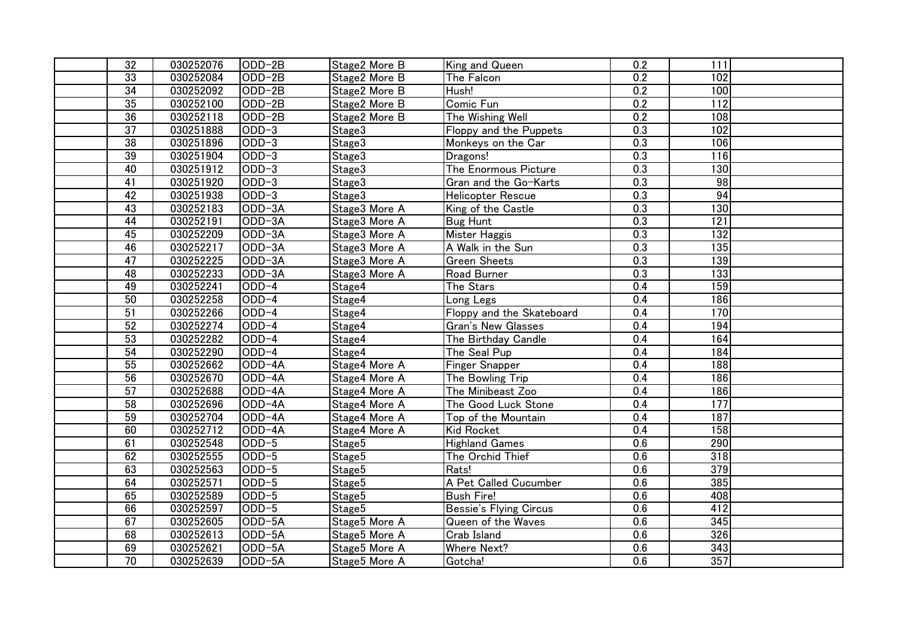| 32              | 030252076 | $ODD-2B$ | Stage2 More B | King and Queen                | 0.2              | 111              |  |
|-----------------|-----------|----------|---------------|-------------------------------|------------------|------------------|--|
| 33              | 030252084 | $ODD-2B$ | Stage2 More B | The Falcon                    | 0.2              | 102              |  |
| $\overline{34}$ | 030252092 | ODD-2B   | Stage2 More B | Hush!                         | 0.2              | 100              |  |
| 35              | 030252100 | $ODD-2B$ | Stage2 More B | Comic Fun                     | 0.2              | $\overline{112}$ |  |
| 36              | 030252118 | ODD-2B   | Stage2 More B | The Wishing Well              | 0.2              | 108              |  |
| $\overline{37}$ | 030251888 | $ODD-3$  | Stage3        | Floppy and the Puppets        | $\overline{0.3}$ | 102              |  |
| 38              | 030251896 | $ODD-3$  | Stage3        | Monkeys on the Car            | 0.3              | 106              |  |
| 39              | 030251904 | $ODD-3$  | Stage3        | Dragons!                      | $\overline{0.3}$ | 116              |  |
| 40              | 030251912 | $ODD-3$  | Stage3        | The Enormous Picture          | 0.3              | 130              |  |
| $\overline{41}$ | 030251920 | $ODD-3$  | Stage3        | Gran and the Go-Karts         | $\overline{0.3}$ | $\overline{98}$  |  |
| 42              | 030251938 | $ODD-3$  | Stage3        | <b>Helicopter Rescue</b>      | 0.3              | 94               |  |
| 43              | 030252183 | ODD-3A   | Stage3 More A | King of the Castle            | $\overline{0.3}$ | 130              |  |
| 44              | 030252191 | ODD-3A   | Stage3 More A | <b>Bug Hunt</b>               | 0.3              | $\overline{121}$ |  |
| 45              | 030252209 | $ODD-3A$ | Stage3 More A | Mister Haggis                 | $\overline{0.3}$ | 132              |  |
| 46              | 030252217 | ODD-3A   | Stage3 More A | A Walk in the Sun             | $\overline{0.3}$ | 135              |  |
| $\overline{47}$ | 030252225 | $ODD-3A$ | Stage3 More A | Green Sheets                  | $\overline{0.3}$ | 139              |  |
| 48              | 030252233 | $ODD-3A$ | Stage3 More A | Road Burner                   | $\overline{0.3}$ | 133              |  |
| 49              | 030252241 | $ODD-4$  | Stage4        | The Stars                     | 0.4              | 159              |  |
| 50              | 030252258 | $ODD-4$  | Stage4        | Long Legs                     | 0.4              | 186              |  |
| 51              | 030252266 | $ODD-4$  | Stage4        | Floppy and the Skateboard     | 0.4              | 170              |  |
| 52              | 030252274 | $ODD-4$  | Stage4        | Gran's New Glasses            | 0.4              | 194              |  |
| 53              | 030252282 | $ODD-4$  | Stage4        | The Birthday Candle           | 0.4              | 164              |  |
| 54              | 030252290 | $ODD-4$  | Stage4        | The Seal Pup                  | 0.4              | 184              |  |
| 55              | 030252662 | ODD-4A   | Stage4 More A | Finger Snapper                | 0.4              | 188              |  |
| 56              | 030252670 | ODD-4A   | Stage4 More A | The Bowling Trip              | 0.4              | 186              |  |
| 57              | 030252688 | ODD-4A   | Stage4 More A | The Minibeast Zoo             | 0.4              | $\overline{186}$ |  |
| 58              | 030252696 | $ODD-4A$ | Stage4 More A | The Good Luck Stone           | 0.4              | 177              |  |
| 59              | 030252704 | ODD-4A   | Stage4 More A | Top of the Mountain           | $\overline{0.4}$ | 187              |  |
| 60              | 030252712 | ODD-4A   | Stage4 More A | Kid Rocket                    | 0.4              | 158              |  |
| 61              | 030252548 | $ODD-5$  | Stage5        | <b>Highland Games</b>         | 0.6              | 290              |  |
| 62              | 030252555 | $ODD-5$  | Stage5        | The Orchid Thief              | 0.6              | $\overline{318}$ |  |
| 63              | 030252563 | $ODD-5$  | Stage5        | Rats!                         | 0.6              | 379              |  |
| 64              | 030252571 | $ODD-5$  | Stage5        | A Pet Called Cucumber         | 0.6              | 385              |  |
| 65              | 030252589 | $ODD-5$  | Stage5        | <b>Bush Fire!</b>             | 0.6              | 408              |  |
| 66              | 030252597 | $ODD-5$  | Stage5        | <b>Bessie's Flying Circus</b> | 0.6              | 412              |  |
| 67              | 030252605 | ODD-5A   | Stage5 More A | Queen of the Waves            | $\overline{0.6}$ | $\overline{345}$ |  |
| 68              | 030252613 | ODD-5A   | Stage5 More A | Crab Island                   | 0.6              | 326              |  |
| 69              | 030252621 | ODD-5A   | Stage5 More A | <b>Where Next?</b>            | 0.6              | 343              |  |
| $\overline{70}$ | 030252639 | ODD-5A   | Stage5 More A | Gotcha!                       | 0.6              | 357              |  |